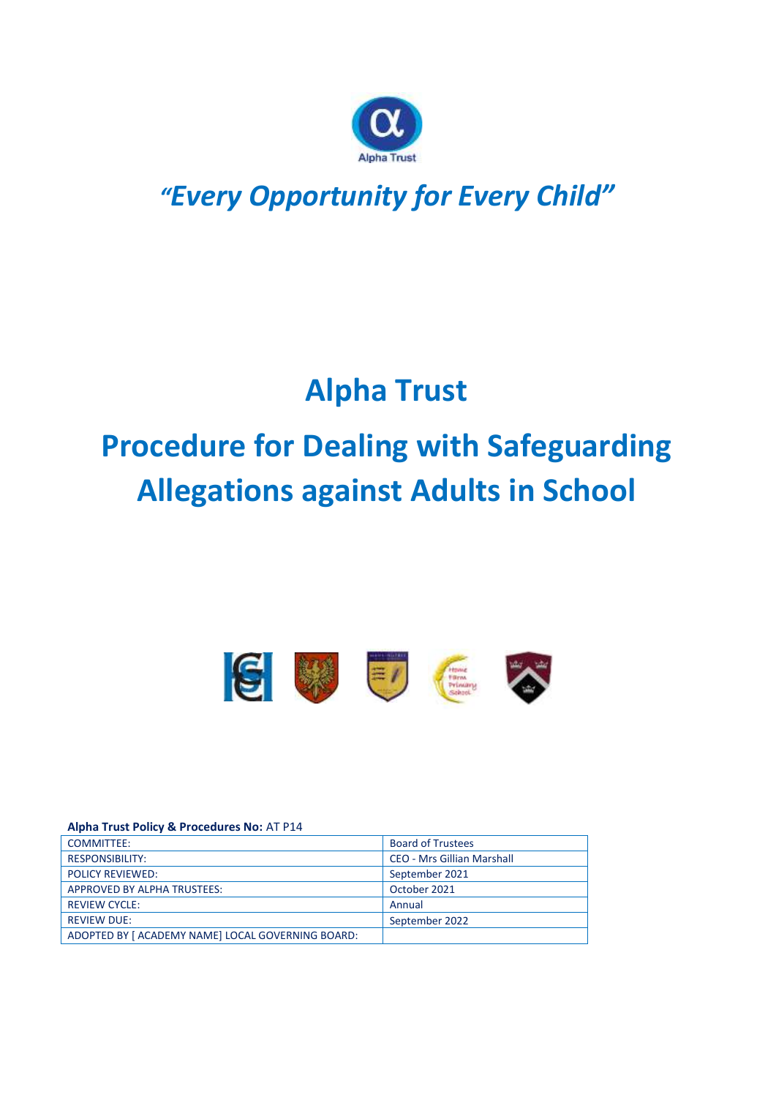

## *"Every Opportunity for Every Child"*

# **Alpha Trust**

# **Procedure for Dealing with Safeguarding Allegations against Adults in School**



#### **Alpha Trust Policy & Procedures No:** AT P14

| COMMITTEE:                                        | <b>Board of Trustees</b>          |
|---------------------------------------------------|-----------------------------------|
| <b>RESPONSIBILITY:</b>                            | <b>CEO - Mrs Gillian Marshall</b> |
| <b>POLICY REVIEWED:</b>                           | September 2021                    |
| APPROVED BY ALPHA TRUSTEES:                       | October 2021                      |
| <b>REVIEW CYCLE:</b>                              | Annual                            |
| <b>REVIEW DUE:</b>                                | September 2022                    |
| ADOPTED BY [ ACADEMY NAME] LOCAL GOVERNING BOARD: |                                   |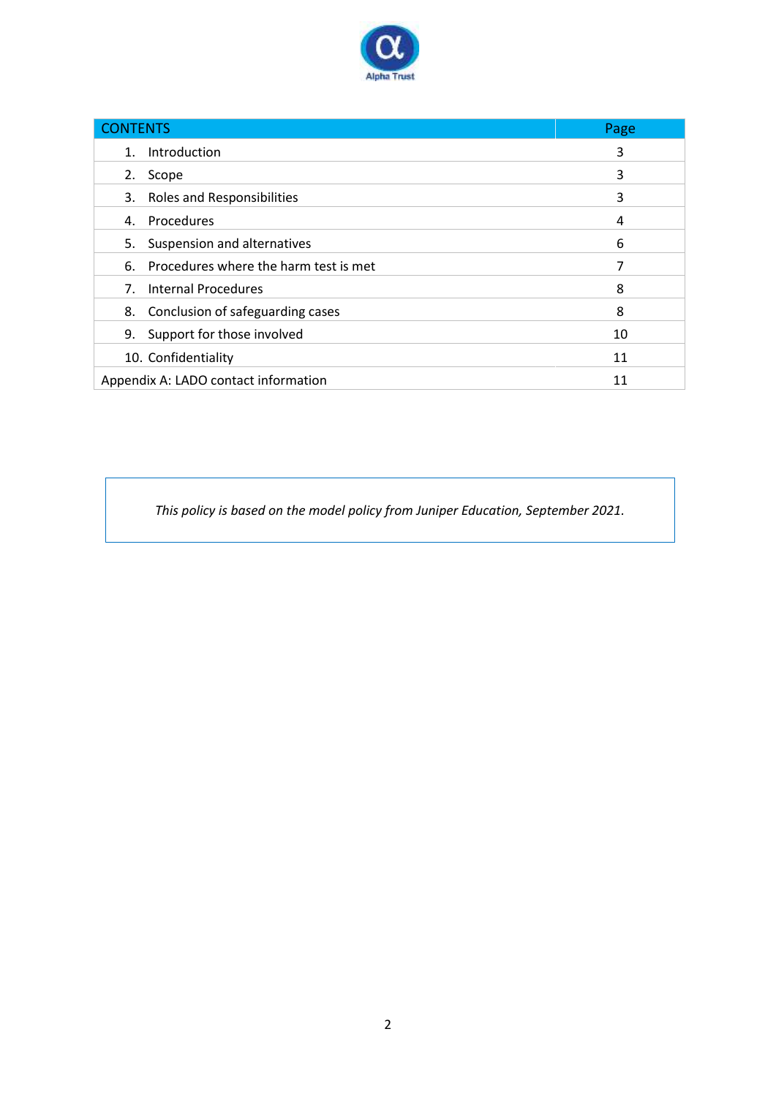

| <b>CONTENTS</b>                             | Page |
|---------------------------------------------|------|
| Introduction<br>$1_{-}$                     | 3    |
| Scope<br>2.                                 | 3    |
| 3. Roles and Responsibilities               | 3    |
| 4. Procedures                               | 4    |
| Suspension and alternatives<br>5.           | 6    |
| Procedures where the harm test is met<br>6. | 7    |
| <b>Internal Procedures</b><br>7.            | 8    |
| 8. Conclusion of safeguarding cases         | 8    |
| 9.<br>Support for those involved            | 10   |
| 10. Confidentiality                         | 11   |
| Appendix A: LADO contact information        | 11   |

*This policy is based on the model policy from Juniper Education, September 2021.*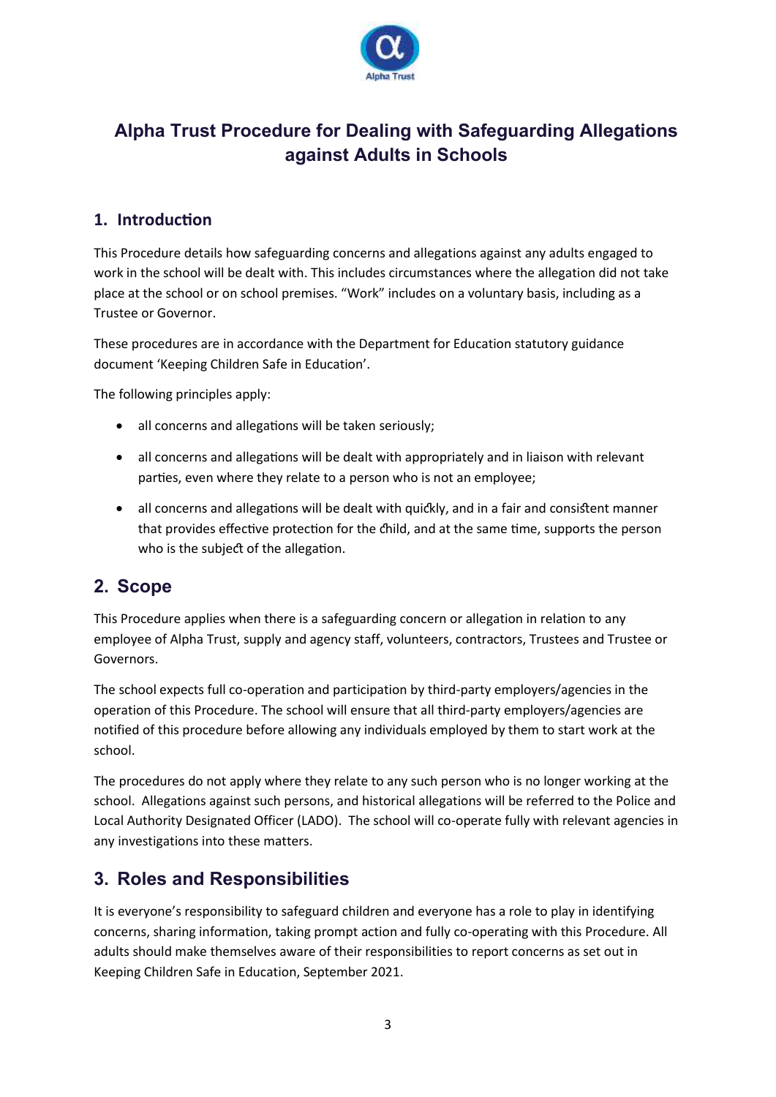

## **Alpha Trust Procedure for Dealing with Safeguarding Allegations against Adults in Schools**

## **1. Introduction**

This Procedure details how safeguarding concerns and allegations against any adults engaged to work in the school will be dealt with. This includes circumstances where the allegation did not take place at the school or on school premises. "Work" includes on a voluntary basis, including as a Trustee or Governor.

These procedures are in accordance with the Department for Education statutory guidance document 'Keeping Children Safe in Education'.

The following principles apply:

- all concerns and allegations will be taken seriously;
- all concerns and allegations will be dealt with appropriately and in liaison with relevant parties, even where they relate to a person who is not an employee;
- all concerns and allegations will be dealt with quickly, and in a fair and consistent manner that provides effective protection for the child, and at the same time, supports the person who is the subject of the allegation.

## **2. Scope**

This Procedure applies when there is a safeguarding concern or allegation in relation to any employee of Alpha Trust, supply and agency staff, volunteers, contractors, Trustees and Trustee or Governors.

The school expects full co-operation and participation by third-party employers/agencies in the operation of this Procedure. The school will ensure that all third-party employers/agencies are notified of this procedure before allowing any individuals employed by them to start work at the school.

The procedures do not apply where they relate to any such person who is no longer working at the school. Allegations against such persons, and historical allegations will be referred to the Police and Local Authority Designated Officer (LADO). The school will co-operate fully with relevant agencies in any investigations into these matters.

## **3. Roles and Responsibilities**

It is everyone's responsibility to safeguard children and everyone has a role to play in identifying concerns, sharing information, taking prompt action and fully co-operating with this Procedure. All adults should make themselves aware of their responsibilities to report concerns as set out in Keeping Children Safe in Education, September 2021.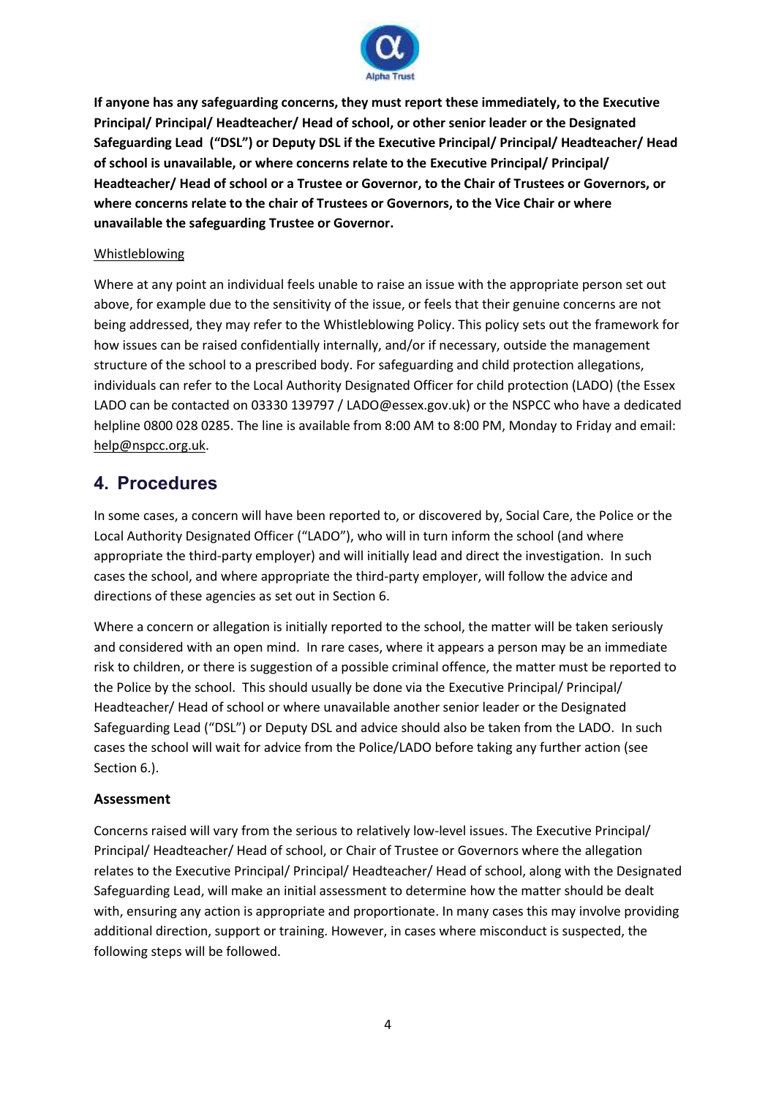

**If anyone has any safeguarding concerns, they must report these immediately, to the Executive Principal/ Principal/ Headteacher/ Head of school, or other senior leader or the Designated Safeguarding Lead ("DSL") or Deputy DSL if the Executive Principal/ Principal/ Headteacher/ Head of school is unavailable, or where concerns relate to the Executive Principal/ Principal/ Headteacher/ Head of school or a Trustee or Governor, to the Chair of Trustees or Governors, or where concerns relate to the chair of Trustees or Governors, to the Vice Chair or where unavailable the safeguarding Trustee or Governor.** 

#### Whistleblowing

Where at any point an individual feels unable to raise an issue with the appropriate person set out above, for example due to the sensitivity of the issue, or feels that their genuine concerns are not being addressed, they may refer to the Whistleblowing Policy. This policy sets out the framework for how issues can be raised confidentially internally, and/or if necessary, outside the management structure of the school to a prescribed body. For safeguarding and child protection allegations, individuals can refer to the Local Authority Designated Officer for child protection (LADO) (the Essex LADO can be contacted on 03330 139797 / [LADO@essex.gov.uk\)](mailto:LADO@essex.gov.uk) or the NSPCC who have a dedicated helpline 0800 028 0285. The line is available from 8:00 AM to 8:00 PM, Monday to Friday and email: [help@nspcc.org.uk.](mailto:help@nspcc.org.uk)

## **4. Procedures**

In some cases, a concern will have been reported to, or discovered by, Social Care, the Police or the Local Authority Designated Officer ("LADO"), who will in turn inform the school (and where appropriate the third-party employer) and will initially lead and direct the investigation. In such cases the school, and where appropriate the third-party employer, will follow the advice and directions of these agencies as set out in Section 6.

Where a concern or allegation is initially reported to the school, the matter will be taken seriously and considered with an open mind. In rare cases, where it appears a person may be an immediate risk to children, or there is suggestion of a possible criminal offence, the matter must be reported to the Police by the school. This should usually be done via the Executive Principal/ Principal/ Headteacher/ Head of school or where unavailable another senior leader or the Designated Safeguarding Lead ("DSL") or Deputy DSL and advice should also be taken from the LADO. In such cases the school will wait for advice from the Police/LADO before taking any further action (see Section 6.).

## **Assessment**

Concerns raised will vary from the serious to relatively low-level issues. The Executive Principal/ Principal/ Headteacher/ Head of school, or Chair of Trustee or Governors where the allegation relates to the Executive Principal/ Principal/ Headteacher/ Head of school, along with the Designated Safeguarding Lead, will make an initial assessment to determine how the matter should be dealt with, ensuring any action is appropriate and proportionate. In many cases this may involve providing additional direction, support or training. However, in cases where misconduct is suspected, the following steps will be followed.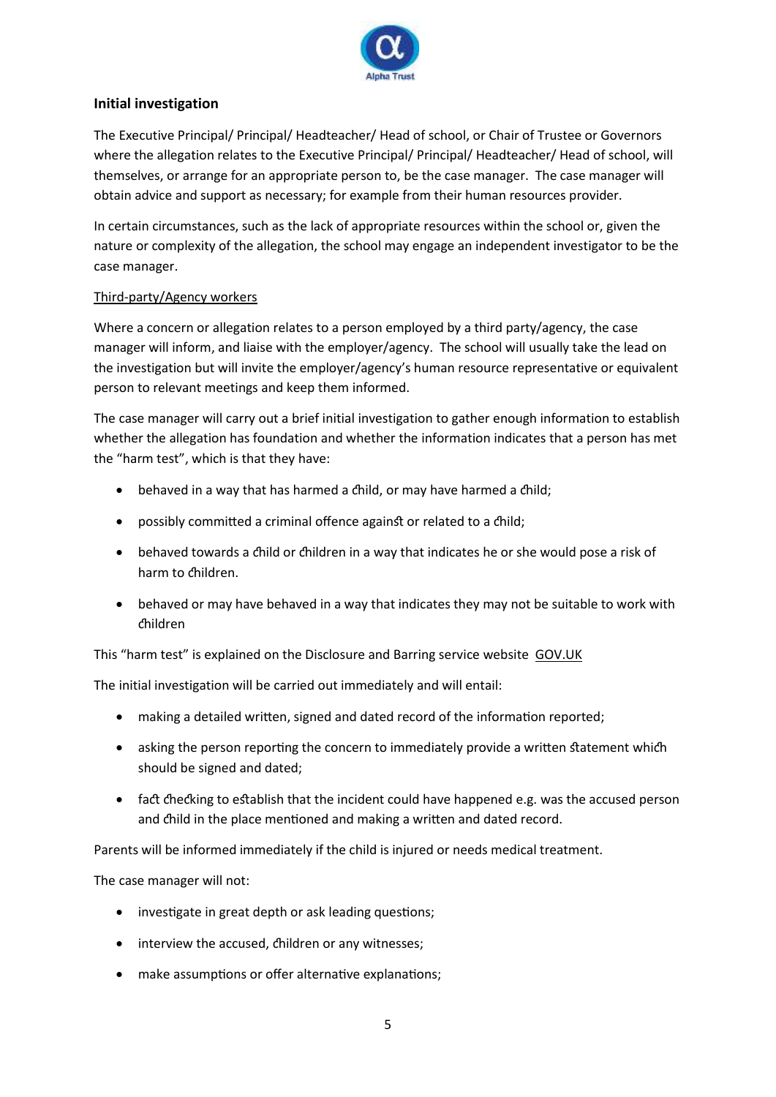

## **Initial investigation**

The Executive Principal/ Principal/ Headteacher/ Head of school, or Chair of Trustee or Governors where the allegation relates to the Executive Principal/ Principal/ Headteacher/ Head of school, will themselves, or arrange for an appropriate person to, be the case manager. The case manager will obtain advice and support as necessary; for example from their human resources provider.

In certain circumstances, such as the lack of appropriate resources within the school or, given the nature or complexity of the allegation, the school may engage an independent investigator to be the case manager.

## Third-party/Agency workers

Where a concern or allegation relates to a person employed by a third party/agency, the case manager will inform, and liaise with the employer/agency. The school will usually take the lead on the investigation but will invite the employer/agency's human resource representative or equivalent person to relevant meetings and keep them informed.

The case manager will carry out a brief initial investigation to gather enough information to establish whether the allegation has foundation and whether the information indicates that a person has met the "harm test", which is that they have:

- behaved in a way that has harmed a child, or may have harmed a child;
- possibly committed a criminal offence against or related to a child;
- behaved towards a child or children in a way that indicates he or she would pose a risk of harm to children.
- behaved or may have behaved in a way that indicates they may not be suitable to work with children

This "harm test" is explained on the Disclosure and Barring service website [GOV.UK](https://www.gov.uk/guidance/making-barring-referrals-to-the-dbs)

The initial investigation will be carried out immediately and will entail:

- making a detailed written, signed and dated record of the information reported;
- asking the person reporting the concern to immediately provide a written statement which should be signed and dated;
- fact checking to establish that the incident could have happened e.g. was the accused person and child in the place mentioned and making a written and dated record.

Parents will be informed immediately if the child is injured or needs medical treatment.

The case manager will not:

- investigate in great depth or ask leading questions;
- interview the accused, children or any witnesses;
- make assumptions or offer alternative explanations;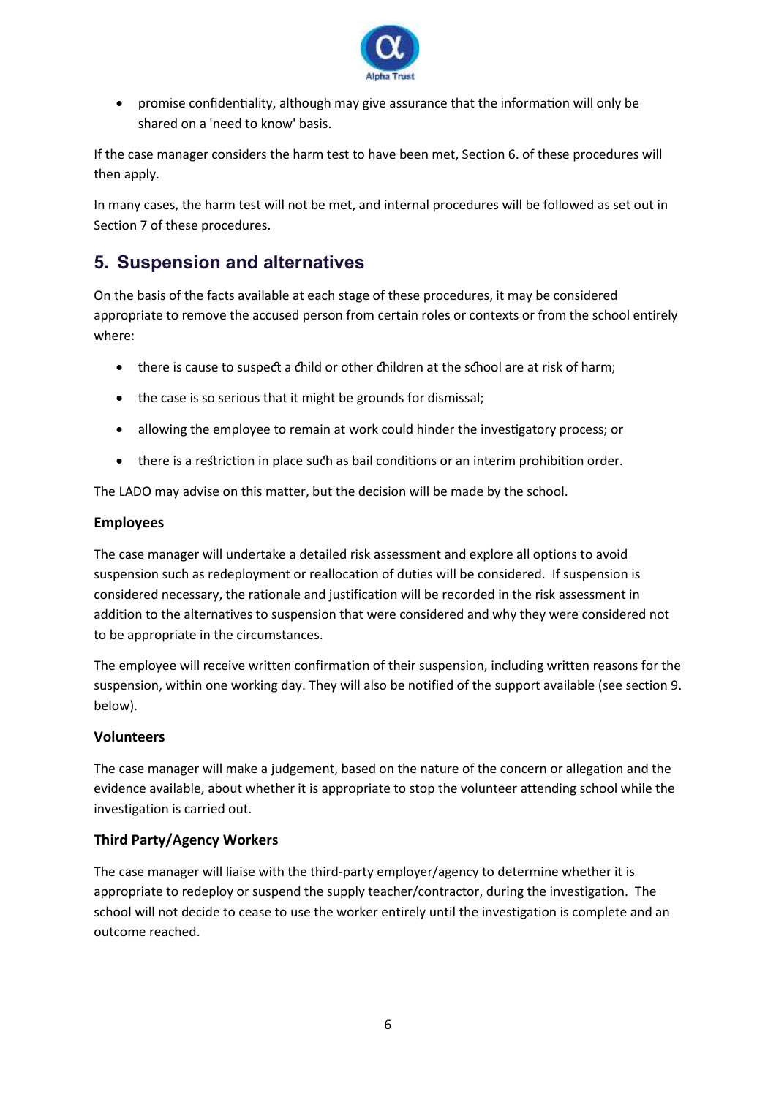

• promise confidentiality, although may give assurance that the information will only be shared on a 'need to know' basis.

If the case manager considers the harm test to have been met, Section 6. of these procedures will then apply.

In many cases, the harm test will not be met, and internal procedures will be followed as set out in Section 7 of these procedures.

## **5. Suspension and alternatives**

On the basis of the facts available at each stage of these procedures, it may be considered appropriate to remove the accused person from certain roles or contexts or from the school entirely where:

- there is cause to suspect a child or other children at the school are at risk of harm:
- the case is so serious that it might be grounds for dismissal;
- allowing the employee to remain at work could hinder the investigatory process; or
- there is a restriction in place such as bail conditions or an interim prohibition order.

The LADO may advise on this matter, but the decision will be made by the school.

## **Employees**

The case manager will undertake a detailed risk assessment and explore all options to avoid suspension such as redeployment or reallocation of duties will be considered. If suspension is considered necessary, the rationale and justification will be recorded in the risk assessment in addition to the alternatives to suspension that were considered and why they were considered not to be appropriate in the circumstances.

The employee will receive written confirmation of their suspension, including written reasons for the suspension, within one working day. They will also be notified of the support available (see section 9. below).

## **Volunteers**

The case manager will make a judgement, based on the nature of the concern or allegation and the evidence available, about whether it is appropriate to stop the volunteer attending school while the investigation is carried out.

## **Third Party/Agency Workers**

The case manager will liaise with the third-party employer/agency to determine whether it is appropriate to redeploy or suspend the supply teacher/contractor, during the investigation. The school will not decide to cease to use the worker entirely until the investigation is complete and an outcome reached.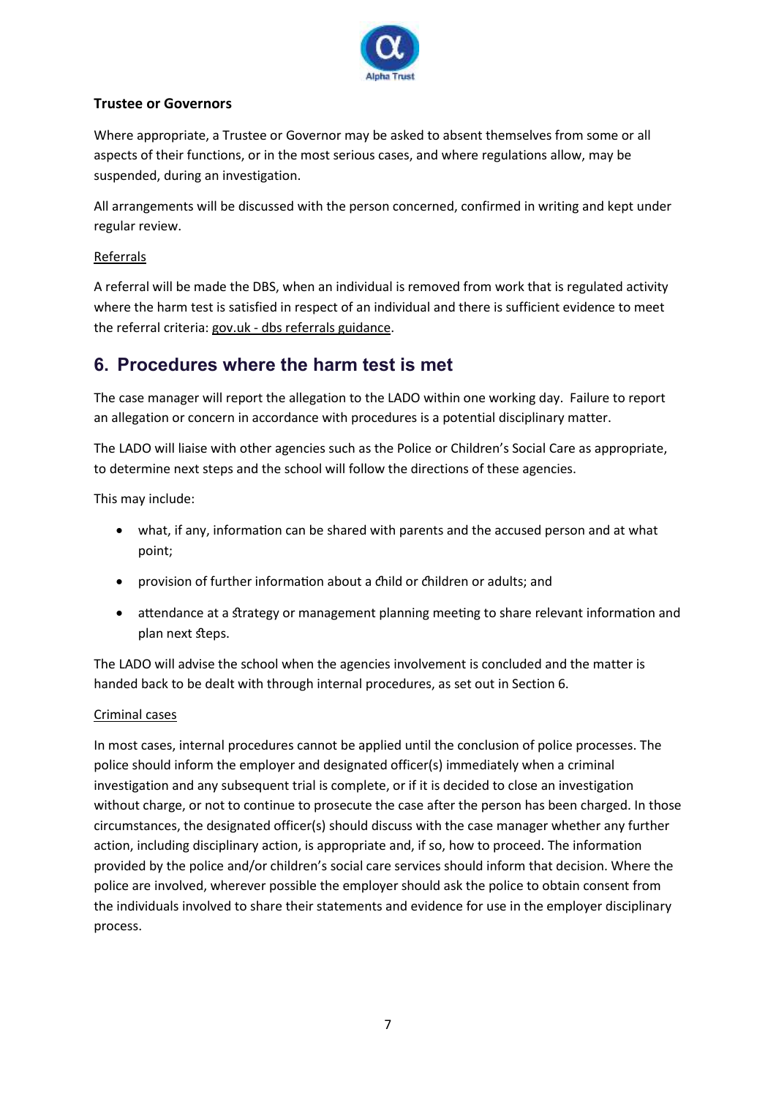

## **Trustee or Governors**

Where appropriate, a Trustee or Governor may be asked to absent themselves from some or all aspects of their functions, or in the most serious cases, and where regulations allow, may be suspended, during an investigation.

All arrangements will be discussed with the person concerned, confirmed in writing and kept under regular review.

## Referrals

A referral will be made the DBS, when an individual is removed from work that is regulated activity where the harm test is satisfied in respect of an individual and there is sufficient evidence to meet the referral criteria: gov.uk - [dbs referrals guidance.](https://www.gov.uk/government/collections/dbs-referrals-guidance--2)

## **6. Procedures where the harm test is met**

The case manager will report the allegation to the LADO within one working day. Failure to report an allegation or concern in accordance with procedures is a potential disciplinary matter.

The LADO will liaise with other agencies such as the Police or Children's Social Care as appropriate, to determine next steps and the school will follow the directions of these agencies.

This may include:

- what, if any, information can be shared with parents and the accused person and at what point;
- provision of further information about a child or children or adults; and
- attendance at a strategy or management planning meeting to share relevant information and plan next steps.

The LADO will advise the school when the agencies involvement is concluded and the matter is handed back to be dealt with through internal procedures, as set out in Section 6.

## Criminal cases

In most cases, internal procedures cannot be applied until the conclusion of police processes. The police should inform the employer and designated officer(s) immediately when a criminal investigation and any subsequent trial is complete, or if it is decided to close an investigation without charge, or not to continue to prosecute the case after the person has been charged. In those circumstances, the designated officer(s) should discuss with the case manager whether any further action, including disciplinary action, is appropriate and, if so, how to proceed. The information provided by the police and/or children's social care services should inform that decision. Where the police are involved, wherever possible the employer should ask the police to obtain consent from the individuals involved to share their statements and evidence for use in the employer disciplinary process.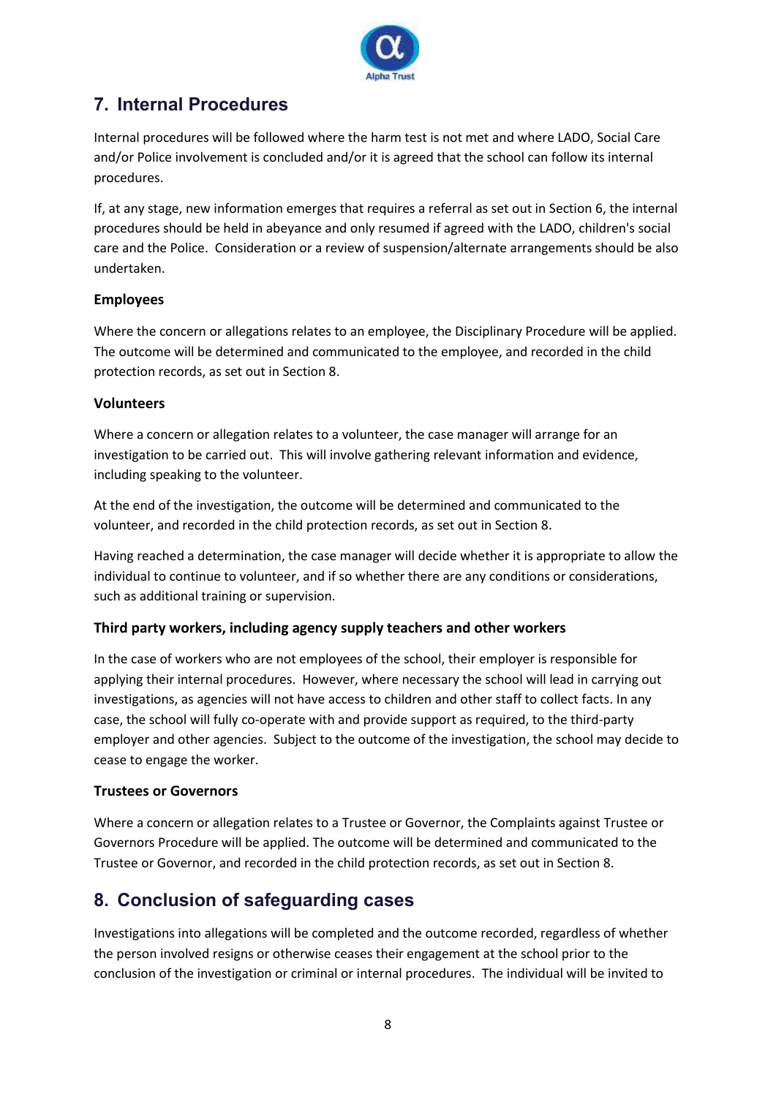

## **7. Internal Procedures**

Internal procedures will be followed where the harm test is not met and where LADO, Social Care and/or Police involvement is concluded and/or it is agreed that the school can follow its internal procedures.

If, at any stage, new information emerges that requires a referral as set out in Section 6, the internal procedures should be held in abeyance and only resumed if agreed with the LADO, children's social care and the Police. Consideration or a review of suspension/alternate arrangements should be also undertaken.

## **Employees**

Where the concern or allegations relates to an employee, the Disciplinary Procedure will be applied. The outcome will be determined and communicated to the employee, and recorded in the child protection records, as set out in Section 8.

## **Volunteers**

Where a concern or allegation relates to a volunteer, the case manager will arrange for an investigation to be carried out. This will involve gathering relevant information and evidence, including speaking to the volunteer.

At the end of the investigation, the outcome will be determined and communicated to the volunteer, and recorded in the child protection records, as set out in Section 8.

Having reached a determination, the case manager will decide whether it is appropriate to allow the individual to continue to volunteer, and if so whether there are any conditions or considerations, such as additional training or supervision.

## **Third party workers, including agency supply teachers and other workers**

In the case of workers who are not employees of the school, their employer is responsible for applying their internal procedures. However, where necessary the school will lead in carrying out investigations, as agencies will not have access to children and other staff to collect facts. In any case, the school will fully co-operate with and provide support as required, to the third-party employer and other agencies. Subject to the outcome of the investigation, the school may decide to cease to engage the worker.

## **Trustees or Governors**

Where a concern or allegation relates to a Trustee or Governor, the Complaints against Trustee or Governors Procedure will be applied. The outcome will be determined and communicated to the Trustee or Governor, and recorded in the child protection records, as set out in Section 8.

## **8. Conclusion of safeguarding cases**

Investigations into allegations will be completed and the outcome recorded, regardless of whether the person involved resigns or otherwise ceases their engagement at the school prior to the conclusion of the investigation or criminal or internal procedures. The individual will be invited to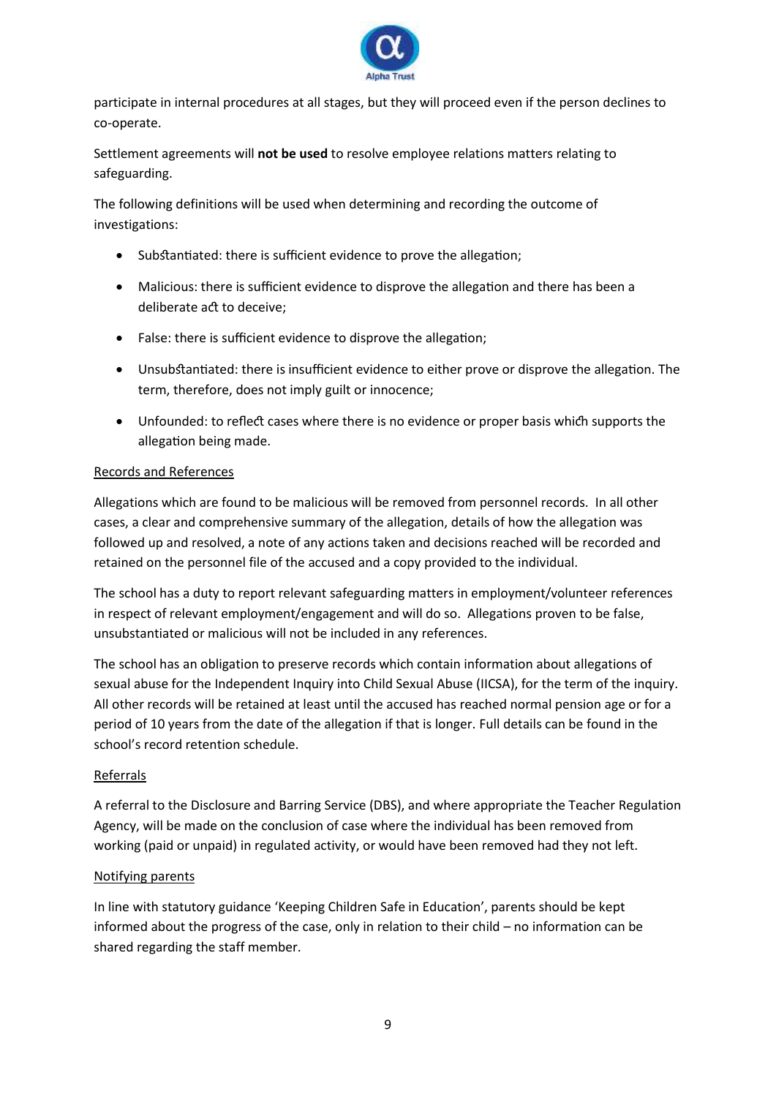

participate in internal procedures at all stages, but they will proceed even if the person declines to co-operate.

Settlement agreements will **not be used** to resolve employee relations matters relating to safeguarding.

The following definitions will be used when determining and recording the outcome of investigations:

- Substantiated: there is sufficient evidence to prove the allegation;
- Malicious: there is sufficient evidence to disprove the allegation and there has been a deliberate act to deceive;
- False: there is sufficient evidence to disprove the allegation;
- Unsubstantiated: there is insufficient evidence to either prove or disprove the allegation. The term, therefore, does not imply guilt or innocence;
- Unfounded: to reflect cases where there is no evidence or proper basis which supports the allegation being made.

## Records and References

Allegations which are found to be malicious will be removed from personnel records. In all other cases, a clear and comprehensive summary of the allegation, details of how the allegation was followed up and resolved, a note of any actions taken and decisions reached will be recorded and retained on the personnel file of the accused and a copy provided to the individual.

The school has a duty to report relevant safeguarding matters in employment/volunteer references in respect of relevant employment/engagement and will do so. Allegations proven to be false, unsubstantiated or malicious will not be included in any references.

The school has an obligation to preserve records which contain information about allegations of sexual abuse for the Independent Inquiry into Child Sexual Abuse (IICSA), for the term of the inquiry. All other records will be retained at least until the accused has reached normal pension age or for a period of 10 years from the date of the allegation if that is longer. Full details can be found in the school's record retention schedule.

## Referrals

A referral to the Disclosure and Barring Service (DBS), and where appropriate the Teacher Regulation Agency, will be made on the conclusion of case where the individual has been removed from working (paid or unpaid) in regulated activity, or would have been removed had they not left.

#### Notifying parents

In line with statutory guidance 'Keeping Children Safe in Education', parents should be kept informed about the progress of the case, only in relation to their child – no information can be shared regarding the staff member.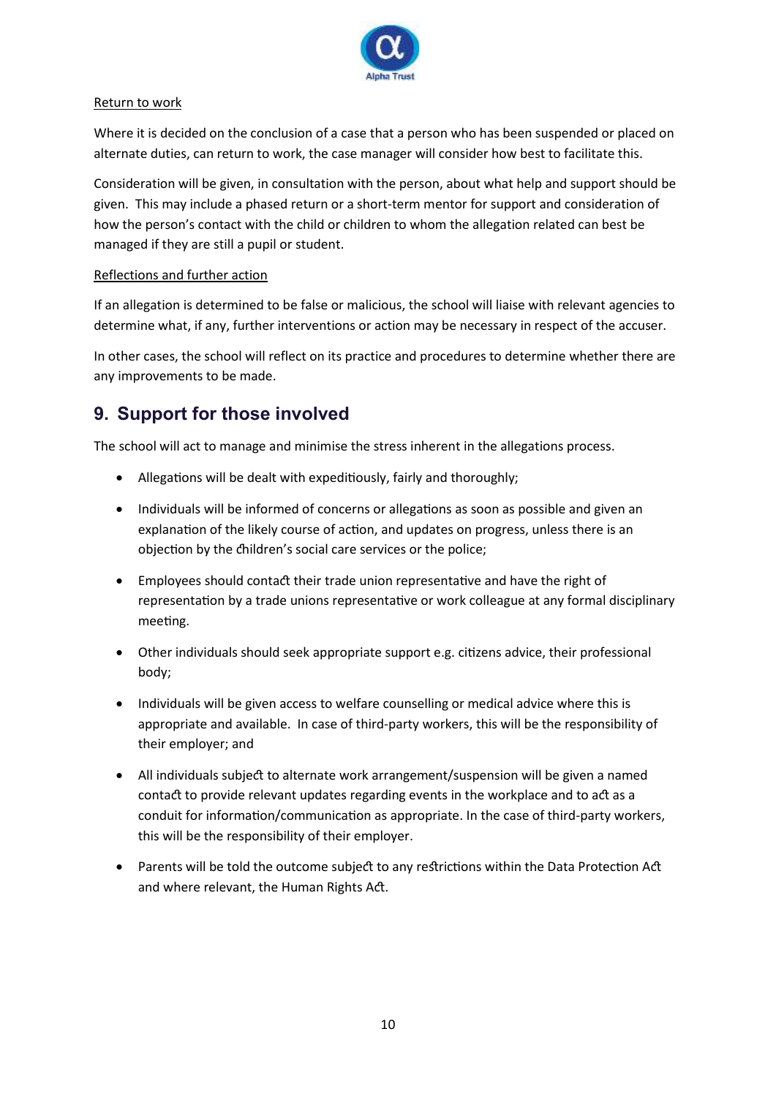

## Return to work

Where it is decided on the conclusion of a case that a person who has been suspended or placed on alternate duties, can return to work, the case manager will consider how best to facilitate this.

Consideration will be given, in consultation with the person, about what help and support should be given. This may include a phased return or a short-term mentor for support and consideration of how the person's contact with the child or children to whom the allegation related can best be managed if they are still a pupil or student.

## Reflections and further action

If an allegation is determined to be false or malicious, the school will liaise with relevant agencies to determine what, if any, further interventions or action may be necessary in respect of the accuser.

In other cases, the school will reflect on its practice and procedures to determine whether there are any improvements to be made.

## **9. Support for those involved**

The school will act to manage and minimise the stress inherent in the allegations process.

- Allegations will be dealt with expeditiously, fairly and thoroughly;
- Individuals will be informed of concerns or allegations as soon as possible and given an explanation of the likely course of action, and updates on progress, unless there is an objection by the children's social care services or the police;
- Employees should contact their trade union representative and have the right of representation by a trade unions representative or work colleague at any formal disciplinary meeting.
- Other individuals should seek appropriate support e.g. citizens advice, their professional body;
- Individuals will be given access to welfare counselling or medical advice where this is appropriate and available. In case of third-party workers, this will be the responsibility of their employer; and
- All individuals subject to alternate work arrangement/suspension will be given a named contact to provide relevant updates regarding events in the workplace and to act as a conduit for information/communication as appropriate. In the case of third-party workers, this will be the responsibility of their employer.
- Parents will be told the outcome subject to any restrictions within the Data Protection Act and where relevant, the Human Rights Act.